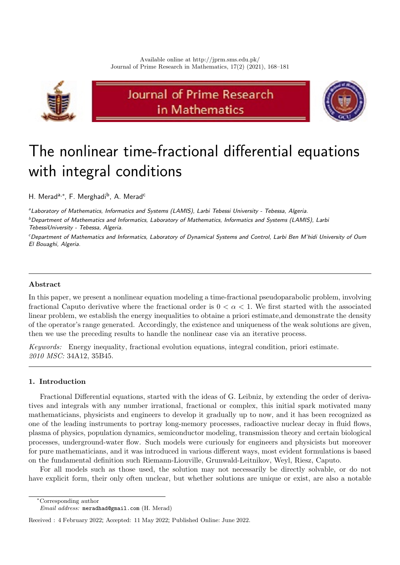

# Journal of Prime Research in Mathematics



# The nonlinear time-fractional differential equations with integral conditions

H. Merad<sup>a,∗</sup>, F. Merghadi<sup>b</sup>, A. Merad<sup>c</sup>

<sup>a</sup> Laboratory of Mathematics, Informatics and Systems (LAMIS), Larbi Tebessi University - Tebessa, Algeria.

b Department of Mathematics and Informatics, Laboratory of Mathematics, Informatics and Systems (LAMIS), Larbi TebessiUniversity - Tebessa, Algeria.

<sup>c</sup> Department of Mathematics and Informatics, Laboratory of Dynamical Systems and Control, Larbi Ben M'hidi University of Oum El Bouaghi, Algeria.

# Abstract

In this paper, we present a nonlinear equation modeling a time-fractional pseudoparabolic problem, involving fractional Caputo derivative where the fractional order is  $0 < \alpha < 1$ . We first started with the associated linear problem, we establish the energy inequalities to obtaine a priori estimate,and demonstrate the density of the operator's range generated. Accordingly, the existence and uniqueness of the weak solutions are given, then we use the preceding results to handle the nonlinear case via an iterative process.

Keywords: Energy inequality, fractional evolution equations, integral condition, priori estimate. 2010 MSC: 34A12, 35B45.

## <span id="page-0-0"></span>1. Introduction

Fractional Differential equations, started with the ideas of G. Leibniz, by extending the order of derivatives and integrals with any number irrational, fractional or complex, this initial spark motivated many mathematicians, physicists and engineers to develop it gradually up to now, and it has been recognized as one of the leading instruments to portray long-memory processes, radioactive nuclear decay in fluid flows, plasma of physics, population dynamics, semiconductor modeling, transmission theory and certain biological processes, underground-water flow. Such models were curiously for engineers and physicists but moreover for pure mathematicians, and it was introduced in various different ways, most evident formulations is based on the fundamental definition such Riemann-Liouville, Grunwald-Leitnikov, Weyl, Riesz, Caputo.

For all models such as those used, the solution may not necessarily be directly solvable, or do not have explicit form, their only often unclear, but whether solutions are unique or exist, are also a notable

<sup>∗</sup>Corresponding author

Email address: meradhad@gmail.com (H. Merad)

Received : 4 February 2022; Accepted: 11 May 2022; Published Online: June 2022.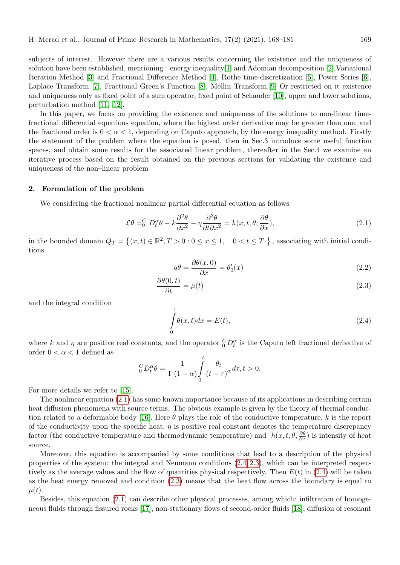subjects of interest. However there are a various results concerning the existence and the uniqueness of solution have been established, mentioning : energy inequality[\[1\]](#page-13-0) and Adomian decomposition [\[2\]](#page-13-1),Variational Iteration Method [\[3\]](#page-13-2) and Fractional Difference Method [\[4\]](#page-13-3), Rothe time-discretization [\[5\]](#page-13-4), Power Series [\[6\]](#page-13-5), Laplace Transform [\[7\]](#page-13-6), Fractional Green's Function [\[8\]](#page-13-7), Mellin Transform.[\[9\]](#page-13-8) Or restricted on it existence and uniqueness only as fixed point of a sum operator, fixed point of Schauder [\[10\]](#page-13-9), upper and lower solutions, perturbation method [\[11](#page-13-10), [12\]](#page-13-11).

In this paper, we focus on providing the existence and uniqueness of the solutions to non-linear timefractional differential equations equation, where the highest order derivative may be greater than one, and the fractional order is  $0 < \alpha < 1$ , depending on Caputo approach, by the energy inequality method. Firstly the statement of the problem where the equation is posed, then in Sec.3 introduce some useful function spaces, and obtain some results for the associated linear problem, thereafter in the Sec.4 we examine an iterative process based on the result obtained on the previous sections for validating the existence and uniqueness of the non–linear problem

#### 2. Formulation of the problem

We considering the fractional nonlinear partial differential equation as follows

<span id="page-1-0"></span>
$$
\mathcal{L}\theta =_0^C D_t^{\alpha}\theta - k\frac{\partial^2 \theta}{\partial x^2} - \eta \frac{\partial^3 \theta}{\partial t \partial x^2} = h(x, t, \theta, \frac{\partial \theta}{\partial x}),
$$
\n(2.1)

in the bounded domain  $Q_T = \{(x, t) \in \mathbb{R}^2, T > 0 : 0 \le x \le 1, 0 < t \le T\}$ , associating with initial conditions

<span id="page-1-2"></span>
$$
q\theta = \frac{\partial \theta(x,0)}{\partial x} = \theta_0'(x) \tag{2.2}
$$

$$
\frac{\partial \theta(0,t)}{\partial t} = \mu(t) \tag{2.3}
$$

and the integral condition

<span id="page-1-1"></span>
$$
\int_{0}^{1} \theta(x, t) dx = E(t),
$$
\n(2.4)

where k and  $\eta$  are positive real constants, and the operator  ${}_{0}^{C}D_{t}^{\alpha}$  is the Caputo left fractional derivative of order  $0 < \alpha < 1$  defined as

$$
{}_{0}^{C}D_{t}^{\alpha}\theta = \frac{1}{\Gamma(1-\alpha)}\int_{0}^{t}\frac{\theta_{t}}{(t-\tau)^{\alpha}}d\tau, t > 0.
$$

For more details we refer to [\[15\]](#page-13-12).

The nonlinear equation (2.[1\)](#page-1-0) has some known importance because of its applications in describing certain heat diffusion phenomena with source terms. The obvious example is given by the theory of thermal conduc-tion related to a deformable body [\[16\]](#page-13-13). Here  $\theta$  plays the role of the conductive temperature, k is the report of the conductivity upon the specific heat,  $\eta$  is positive real constant denotes the temperature discrepancy factor (the conductive temperature and thermodynamic temperature) and  $h(x, t, \theta, \frac{\partial \theta}{\partial x})$  is intensity of heat source.

Moreover, this equation is accompanied by some conditions that lead to a description of the physical properties of the system: the integral and Neumann conditions  $(2.4, 2.3)$  $(2.4, 2.3)$ , which can be interpreted respectively as the average values and the flow of quantities physical respectively. Then  $E(t)$  in (2.[4\)](#page-1-1) will be taken as the heat energy removed and condition (2.[3\)](#page-1-2) means that the heat flow across the boundary is equal to  $\mu(t)$ .

Besides, this equation [\(2](#page-1-0).1) can describe other physical processes, among which: infiltration of homogeneous fluids through fissured rocks [\[17\]](#page-13-14), non-stationary flows of second-order fluids [\[18\]](#page-13-15), diffusion of resonant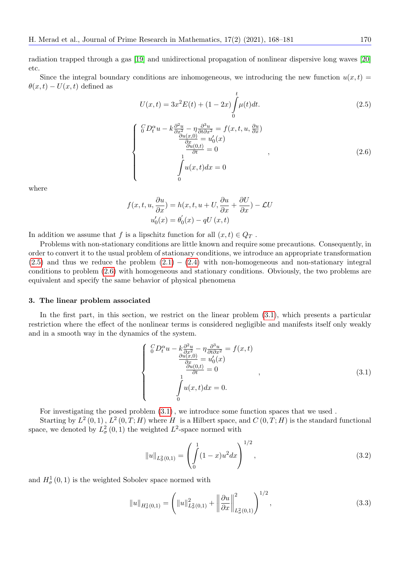radiation trapped through a gas [\[19\]](#page-13-16) and unidirectional propagation of nonlinear dispersive long waves [\[20\]](#page-13-17) etc.

Since the integral boundary conditions are inhomogeneous, we introducing the new function  $u(x,t)$  $\theta(x,t) - U(x,t)$  defined as

<span id="page-2-0"></span>
$$
U(x,t) = 3x^{2}E(t) + (1 - 2x) \int_{0}^{t} \mu(t)dt.
$$
\n(2.5)

<span id="page-2-1"></span>
$$
\begin{cases}\n\int_{0}^{C} D_{t}^{\alpha} u - k \frac{\partial^{2} u}{\partial x_{2}^{2}} - \eta \frac{\partial^{3} u}{\partial t \partial x^{2}} = f(x, t, u, \frac{\partial u}{\partial x}) \\
\frac{\partial u(x, 0)}{\partial x} = u_{0}'(x) \\
\frac{\partial u(0, t)}{\partial t} = 0 \\
\int_{0}^{1} u(x, t) dx = 0\n\end{cases}
$$
\n(2.6)

where

$$
f(x, t, u, \frac{\partial u}{\partial x}) = h(x, t, u + U, \frac{\partial u}{\partial x} + \frac{\partial U}{\partial x}) - \mathcal{L}U
$$

$$
u'_0(x) = \theta'_0(x) - qU(x, t)
$$

In addition we assume that f is a lipschitz function for all  $(x, t) \in Q_T$ .

Problems with non-stationary conditions are little known and require some precautions. Consequently, in order to convert it to the usual problem of stationary conditions, we introduce an appropriate transformation  $(2.5)$  $(2.5)$  and thus we reduce the problem  $(2.1) - (2.4)$  $(2.1) - (2.4)$  $(2.1) - (2.4)$  with non-homogeneous and non-stationary integral conditions to problem (2.[6\)](#page-2-1) with homogeneous and stationary conditions. Obviously, the two problems are equivalent and specify the same behavior of physical phenomena

#### 3. The linear problem associated

In the first part, in this section, we restrict on the linear problem (3.[1\)](#page-2-2), which presents a particular restriction where the effect of the nonlinear terms is considered negligible and manifests itself only weakly and in a smooth way in the dynamics of the system.

<span id="page-2-2"></span>
$$
\begin{cases}\n\binom{C}{0}D_t^{\alpha}u - k\frac{\partial^2 u}{\partial x^2} - \eta \frac{\partial^3 u}{\partial t \partial x^2} = f(x, t) \\
\frac{\partial u(x, 0)}{\partial x} = u'_0(x) \\
\frac{\partial u(0, t)}{\partial t} = 0 \\
\int u(x, t)dx = 0.\n\end{cases} (3.1)
$$

For investigating the posed problem [\(3](#page-2-2).1), we introduce some function spaces that we used .

Starting by  $L^2(0,1)$ ,  $L^2(0,T;H)$  where H is a Hilbert space, and  $C(0,T;H)$  is the standard functional space, we denoted by  $L^2_{\sigma}(0,1)$  the weighted  $L^2$ -space normed with

$$
||u||_{L^2_{\sigma}(0,1)} = \left(\int_0^1 (1-x)u^2 dx\right)^{1/2},
$$
\n(3.2)

and  $H^1_{\sigma}(0,1)$  is the weighted Sobolev space normed with

$$
||u||_{H^1_{\sigma}(0,1)} = \left(||u||^2_{L^2_{\sigma}(0,1)} + ||\frac{\partial u}{\partial x}||^2_{L^2_{\sigma}(0,1)}\right)^{1/2},
$$
\n(3.3)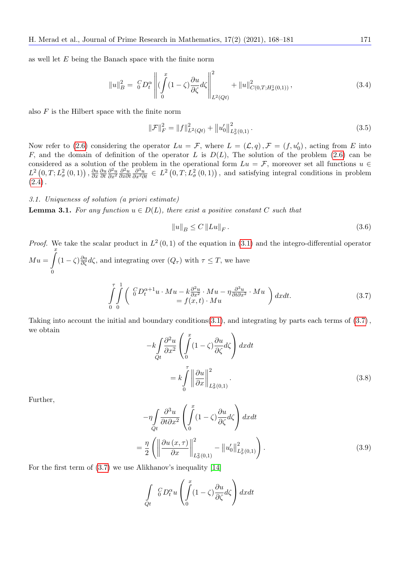as well let E being the Banach space with the finite norm

$$
||u||_B^2 = \left\| D_t^{\alpha} \right\| \left( \int_0^x (1 - \zeta) \frac{\partial u}{\partial \zeta} d\zeta \right\|_{L^2(Qt)}^2 + ||u||_{C(0,T;H^1_{\sigma}(0,1))}^2, \tag{3.4}
$$

also  $F$  is the Hilbert space with the finite norm

$$
\|\mathcal{F}\|_F^2 = \|f\|_{L^2(Qt)}^2 + \|u'_0\|_{L^2(\rho,1)}^2.
$$
\n(3.5)

Now refer to (2.[6\)](#page-2-1) considering the operator  $Lu = \mathcal{F}$ , where  $L = (\mathcal{L}, q)$ ,  $\mathcal{F} = (f, u'_0)$ , acting from E into F, and the domain of definition of the operator L is  $D(L)$ , The solution of the problem [\(2](#page-2-1).6) can be considered as a solution of the problem in the operational form  $Lu = \mathcal{F}$ , moreover set all functions  $u \in$  $L^2\left(0,T;L^2_{\sigma}\left(0,1\right)\right),\frac{\partial u}{\partial x}$ ∂x ∂u ∂t  $\partial^2 u$  $\frac{\partial^2 u}{\partial x^2} \frac{\partial^2 u}{\partial x \partial x}$ ∂x∂t  $\frac{\partial^3 u}{\partial x^2 \partial t} \in L^2(0,T;L^2_\sigma(0,1)),$  and satisfying integral conditions in problem  $(2.4).$  $(2.4).$  $(2.4).$ 

3.1. Uniqueness of solution (a priori estimate)

**Lemma 3.1.** For any function  $u \in D(L)$ , there exist a positive constant C such that

<span id="page-3-2"></span>
$$
||u||_{B} \le C ||Lu||_{F}.
$$
\n
$$
(3.6)
$$

*Proof.* We take the scalar product in  $L^2(0,1)$  $L^2(0,1)$  of the equation in (3.1) and the integro-differential operator  $M u = \int_0^x$  $\boldsymbol{0}$  $(1 - \zeta) \frac{\partial u}{\partial \zeta} d\zeta$ , and integrating over  $(Q_{\tau})$  with  $\tau \leq T$ , we have

<span id="page-3-0"></span>
$$
\int_{0}^{\tau} \int_{0}^{1} \left( \begin{array}{c} {}^{C}D_{t}^{\alpha+1}u \cdot Mu - k\frac{\partial^{2}u}{\partial x^{2}} \cdot Mu - \eta \frac{\partial^{3}u}{\partial t \partial x^{2}} \cdot Mu \\ = f(x, t) \cdot Mu \end{array} \right) dx dt.
$$
\n(3.7)

Taking into account the initial and boundary conditions(3.[1\)](#page-2-2), and integrating by parts each terms of  $(3.7)$  $(3.7)$ , we obtain

<span id="page-3-1"></span>
$$
-k \int_{Qt} \frac{\partial^2 u}{\partial x^2} \left( \int_0^x (1 - \zeta) \frac{\partial u}{\partial \zeta} d\zeta \right) dx dt
$$
  

$$
= k \int_0^{\tau} \left\| \frac{\partial u}{\partial x} \right\|_{L^2(\rho, 1)}^2.
$$
 (3.8)

Further,

<span id="page-3-3"></span>
$$
-\eta \int_{Qt} \frac{\partial^3 u}{\partial t \partial x^2} \left( \int_0^x (1 - \zeta) \frac{\partial u}{\partial \zeta} d\zeta \right) dx dt
$$

$$
= \frac{\eta}{2} \left( \left\| \frac{\partial u(x, \tau)}{\partial x} \right\|_{L^2(\rho, 1)}^2 - \left\| u_0' \right\|_{L^2(\rho, 1)}^2 \right).
$$
(3.9)

For the first term of [\(3](#page-3-0).7) we use Alikhanov's inequality [\[14\]](#page-13-18)

$$
\int_{Qt} \, \, _0^C D_t^{\alpha} u \left( \int_0^x (1 - \zeta) \frac{\partial u}{\partial \zeta} d\zeta \right) dx dt
$$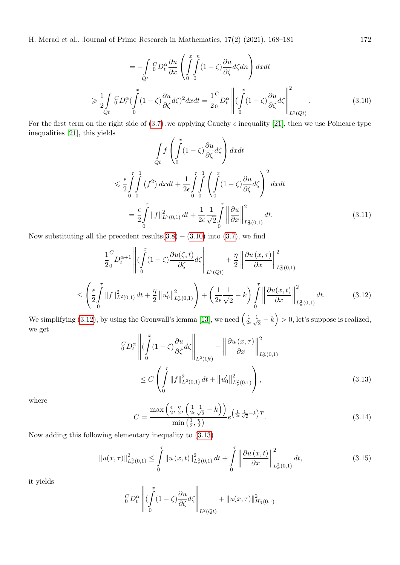H. Merad et al., Journal of Prime Research in Mathematics, 17(2) (2021), 168–181 172

<span id="page-4-0"></span>
$$
= -\int_{Qt}^{C} G D_t^{\alpha} \frac{\partial u}{\partial x} \left( \int_{0}^{x} \int_{0}^{n} (1 - \zeta) \frac{\partial u}{\partial \zeta} d\zeta dn \right) dx dt
$$
  

$$
\geq \frac{1}{2} \int_{Qt}^{C} G D_t^{\alpha} (\int_{0}^{x} (1 - \zeta) \frac{\partial u}{\partial \zeta} d\zeta)^2 dx dt = \frac{1}{2} \int_{0}^{C} D_t^{\alpha} \left\| (\int_{0}^{x} (1 - \zeta) \frac{\partial u}{\partial \zeta} d\zeta) \right\|_{L^2(Qt)}^{2}
$$
(3.10)

For the first term on the right side of [\(3](#page-3-0).7), we applying Cauchy  $\epsilon$  inequality [\[21\]](#page-13-19), then we use Poincare type inequalities [\[21\]](#page-13-19), this yields

$$
\int_{Qt} f\left(\int_{0}^{x} (1-\zeta)\frac{\partial u}{\partial \zeta}d\zeta\right) dx dt
$$
\n
$$
\leq \frac{\epsilon}{2} \int_{0}^{\tau} \int_{0}^{1} (f^{2}) dx dt + \frac{1}{2\epsilon} \int_{0}^{\tau} \int_{0}^{1} \left(\int_{0}^{x} (1-\zeta)\frac{\partial u}{\partial \zeta}d\zeta\right)^{2} dx dt
$$
\n
$$
= \frac{\epsilon}{2} \int_{0}^{\tau} ||f||_{L^{2}(0,1)}^{2} dt + \frac{1}{2\epsilon} \frac{1}{\sqrt{2}} \int_{0}^{\tau} \left\|\frac{\partial u}{\partial x}\right\|_{L^{2}(0,1)}^{2} dt.
$$
\n(3.11)

Now substituting all the precedent results $(3.8) - (3.10)$  $(3.8) - (3.10)$  $(3.8) - (3.10)$  $(3.8) - (3.10)$  into  $(3.7)$ , we find

<span id="page-4-1"></span>
$$
\frac{1}{2} \int_{0}^{C} D_{t}^{\alpha+1} \left\| (\int_{0}^{x} (1-\zeta) \frac{\partial u(\zeta,t)}{\partial \zeta} d\zeta \right\|_{L^{2}(Qt)} + \frac{\eta}{2} \left\| \frac{\partial u(x,\tau)}{\partial x} \right\|_{L^{2}(0,1)}^{2}
$$
\n
$$
\leq \left( \frac{\epsilon}{2} \int_{0}^{\tau} \|f\|_{L^{2}(0,1)}^{2} dt + \frac{\eta}{2} \|u_{0}'\|_{L^{2}(0,1)}^{2} \right) + \left( \frac{1}{2\epsilon} \frac{1}{\sqrt{2}} - k \right) \int_{0}^{\tau} \left\| \frac{\partial u(x,t)}{\partial x} \right\|_{L^{2}(0,1)}^{2} dt. \tag{3.12}
$$

We simplifying (3.[12\)](#page-4-1), by using the Gronwall's lemma [\[13\]](#page-13-20), we need  $\left(\frac{1}{2}\right)$  $\frac{1}{2\epsilon} \frac{1}{\sqrt{2\epsilon}}$  $\left(\frac{1}{2} - k\right) > 0,$  let's suppose is realized, we get  $\overline{11}$  $\overline{11}$ 

$$
\begin{split} \binom{C}{0} D_t^{\alpha} & \left\| (\int_0^x (1-\zeta) \frac{\partial u}{\partial \zeta} d\zeta \right\|_{L^2(Qt)} + \left\| \frac{\partial u(x,\tau)}{\partial x} \right\|_{L^2(0,1)}^2 \\ &\leq C \left( \int_0^{\tau} \|f\|_{L^2(0,1)}^2 dt + \|u'_0\|_{L^2(\tau)}^2 \right), \end{split} \tag{3.13}
$$

where

<span id="page-4-2"></span>
$$
C = \frac{\max\left(\frac{\epsilon}{2}, \frac{\eta}{2}, \left(\frac{1}{2\epsilon}\frac{1}{\sqrt{2}} - k\right)\right)}{\min\left(\frac{1}{2}, \frac{\eta}{2}\right)} e^{\left(\frac{1}{2\epsilon}\frac{1}{\sqrt{2}} - k\right)T}.
$$
\n(3.14)

Now adding this following elementary inequality to (3.[13\)](#page-4-2)

$$
||u(x,\tau)||_{L_{\sigma}^{2}(0,1)}^{2} \leq \int_{0}^{\tau} ||u(x,t)||_{L_{\sigma}^{2}(0,1)}^{2} dt + \int_{0}^{\tau} \left\| \frac{\partial u(x,t)}{\partial x} \right\|_{L_{\sigma}^{2}(0,1)}^{2} dt,
$$
\n(3.15)

it yields

$$
\underset{0}{G}D_t^{\alpha}\left\|(\int\limits_{0}^{x}(1-\zeta)\frac{\partial u}{\partial \zeta}d\zeta\right\|_{L^2(Qt)}+\|u(x,\tau)\|_{H^1_{\sigma}(0,1)}^2
$$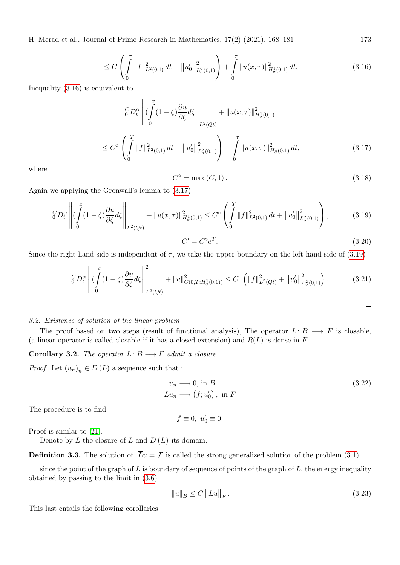H. Merad et al., Journal of Prime Research in Mathematics, 17(2) (2021), 168–181 173

<span id="page-5-0"></span>
$$
\leq C \left( \int\limits_0^{\tau} \|f\|_{L^2(0,1)}^2 dt + \|u'_0\|_{L^2(\mu,1)}^2 \right) + \int\limits_0^{\tau} \|u(x,\tau)\|_{H^1(\mu,1)}^2 dt. \tag{3.16}
$$

Inequality (3.[16\)](#page-5-0) is equivalent to

<span id="page-5-1"></span>
$$
\begin{aligned}\n &\frac{C}{\omega}D_t^{\alpha}\left\| \left( \int_0^x (1-\zeta) \frac{\partial u}{\partial \zeta} d\zeta \right\|_{L^2(Q_t)} + \|u(x,\tau)\|_{H^1(\gamma)}^2 \right) \\
 &\leq C^{\circ} \left( \int_0^T \|f\|_{L^2(0,1)}^2 dt + \|u'_0\|_{L^2(\gamma)}^2 \right) + \int_0^{\tau} \|u(x,\tau)\|_{H^1(\gamma)}^2 dt,\n \end{aligned} \tag{3.17}
$$

where

$$
C^{\circ} = \max(C, 1). \tag{3.18}
$$

Again we applying the Gronwall's lemma to (3.[17\)](#page-5-1)

<span id="page-5-2"></span>
$$
\left\| G \, D_t^{\alpha} \, \left\| \left( \int_0^x (1 - \zeta) \frac{\partial u}{\partial \zeta} d\zeta \right\|_{L^2(Qt)} + \| u(x, \tau) \|_{H^1_{\sigma}(0, 1)}^2 \le C^{\circ} \left( \int_0^T \| f \|_{L^2(0, 1)}^2 dt + \| u_0' \|_{L^2_{\sigma}(0, 1)}^2 \right) \right\}, \tag{3.19}
$$

$$
C' = C^{\circ} e^T. \tag{3.20}
$$

Since the right-hand side is independent of  $\tau$ , we take the upper boundary on the left-hand side of (3.[19\)](#page-5-2)

$$
\left\| C_{0} \mathcal{D}_{t}^{\alpha} \left\| \left( \int_{0}^{x} (1 - \zeta) \frac{\partial u}{\partial \zeta} d\zeta \right\|_{L^{2}(Q_{t})}^{2} + \|u\|_{C(0, T; H_{\sigma}^{1}(0, 1))}^{2} \leq C^{\circ} \left( \|f\|_{L^{2}(Q_{t})}^{2} + \|u_{0}'\|_{L^{2}(0, 1)}^{2} \right) \right). \tag{3.21}
$$

#### 3.2. Existence of solution of the linear problem

The proof based on two steps (result of functional analysis), The operator  $L: B \longrightarrow F$  is closable, (a linear operator is called closable if it has a closed extension) and  $R(L)$  is dense in F

### **Corollary 3.2.** The operator  $L: B \longrightarrow F$  admit a closure

*Proof.* Let  $(u_n)_n \in D(L)$  a sequence such that :

$$
u_n \longrightarrow 0, \text{ in } B
$$
  
\n
$$
Lu_n \longrightarrow (f; u'_0), \text{ in } F
$$
\n(3.22)

The procedure is to find

$$
f \equiv 0, \ u_0' \equiv 0.
$$

Proof is similar to [\[21\]](#page-13-19).

Denote by  $\overline{L}$  the closure of L and  $D(\overline{L})$  its domain.

**Definition 3.3.** The solution of  $\overline{L}u = \mathcal{F}$  is called the strong generalized solution of the problem [\(3](#page-2-2).1)

since the point of the graph of  $L$  is boundary of sequence of points of the graph of  $L$ , the energy inequality obtained by passing to the limit in (3.[6\)](#page-3-2)

$$
||u||_B \le C ||\overline{L}u||_F. \tag{3.23}
$$

This last entails the following corollaries

<span id="page-5-3"></span> $\Box$ 

 $\Box$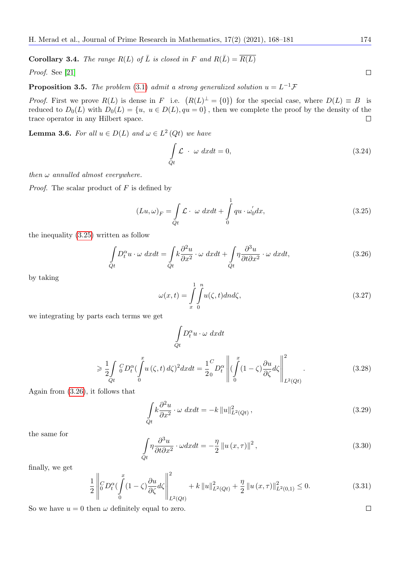<span id="page-6-2"></span>**Corollary 3.4.** The range  $R(L)$  of  $\overline{L}$  is closed in F and  $R(\overline{L}) = \overline{R(L)}$ 

Proof. See [\[21\]](#page-13-19)

**Proposition 3.5.** The problem [\(3](#page-2-2).1) admit a strong generalized solution  $u = L^{-1} \mathcal{F}$ 

*Proof.* First we prove  $R(L)$  is dense in F i.e.  $(R(L)^{\perp} = \{0\})$  for the special case, where  $D(L) \equiv B$  is reduced to  $D_0(L)$  with  $D_0(L) = \{u, u \in D(L), qu = 0\}$ , then we complete the proof by the density of the trace operator in any Hilbert space.  $\Box$ 

**Lemma 3.6.** For all  $u \in D(L)$  and  $\omega \in L^2(Q_t)$  we have

$$
\int_{Qt} \mathcal{L} \cdot \omega \, dxdt = 0,\tag{3.24}
$$

then  $\omega$  annulled almost everywhere.

*Proof.* The scalar product of  $F$  is defined by

<span id="page-6-0"></span>
$$
(Lu, \omega)_F = \int_{Qt} \mathcal{L} \cdot \omega \, dxdt + \int_0^1 qu \cdot \omega'_0 dx,
$$
\n(3.25)

the inequality (3.[25\)](#page-6-0) written as follow

<span id="page-6-1"></span>
$$
\int_{Qt} D_t^{\alpha} u \cdot \omega \, dxdt = \int_{Qt} k \frac{\partial^2 u}{\partial x^2} \cdot \omega \, dxdt + \int_{Qt} \eta \frac{\partial^3 u}{\partial t \partial x^2} \cdot \omega \, dxdt,\tag{3.26}
$$

by taking

$$
\omega(x,t) = \int_{x}^{1} \int_{0}^{n} u(\zeta,t) \, d\mu \, d\zeta,\tag{3.27}
$$

we integrating by parts each terms we get

$$
\int_{Qt} D_t^{\alpha} u \cdot \omega \, dx dt
$$
\n
$$
\geq \frac{1}{2} \int_{Qt} \int_0^x D_t^{\alpha} \left( \int_0^x u(\zeta, t) \, d\zeta \right)^2 dx dt = \frac{1}{2} \int_0^C D_t^{\alpha} \left\| \left( \int_0^x (1 - \zeta) \frac{\partial u}{\partial \zeta} d\zeta \right) \right\|_{L^2(Qt)}^2.
$$
\n(3.28)

Again from (3.[26\)](#page-6-1), it follows that

$$
\int_{Qt} k \frac{\partial^2 u}{\partial x^2} \cdot \omega \, dx dt = -k \|u\|_{L^2(Qt)}^2,
$$
\n(3.29)

the same for

$$
\int_{Qt} \eta \frac{\partial^3 u}{\partial t \partial x^2} \cdot \omega dx dt = -\frac{\eta}{2} ||u(x, \tau)||^2,
$$
\n(3.30)

finally, we get

$$
\frac{1}{2} \left\| \mathcal{C}_{0}^{c} D_{t}^{\alpha} \left( \int_{0}^{x} (1 - \zeta) \frac{\partial u}{\partial \zeta} d\zeta \right\|_{L^{2}(Qt)}^{2} + k \left\| u \right\|_{L^{2}(Qt)}^{2} + \frac{\eta}{2} \left\| u \left( x, \tau \right) \right\|_{L^{2}(0,1)}^{2} \leq 0. \tag{3.31}
$$

So we have  $u = 0$  then  $\omega$  definitely equal to zero.

 $\Box$ 

 $\Box$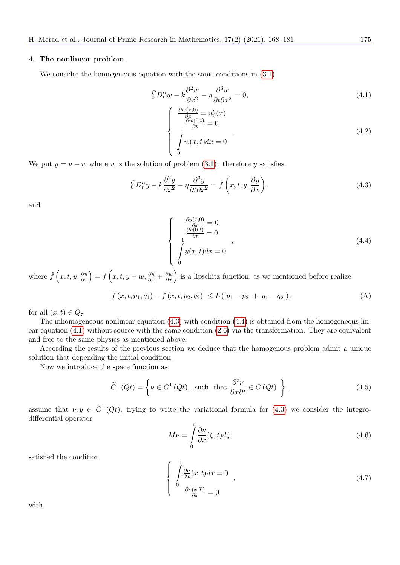#### 4. The nonlinear problem

We consider the homogeneous equation with the same conditions in  $(3.1)$  $(3.1)$ 

<span id="page-7-2"></span>
$$
{}_{0}^{C}D_{t}^{\alpha}w - k\frac{\partial^{2}w}{\partial x^{2}} - \eta \frac{\partial^{3}w}{\partial t \partial x^{2}} = 0,
$$
\n(4.1)

$$
\begin{cases}\n\frac{\partial w(x,0)}{\partial x} = u'_0(x) \\
\frac{\partial w(0,t)}{\partial t} = 0 \\
\int_0^1 w(x,t)dx = 0\n\end{cases}
$$
\n(4.2)

We put  $y = u - w$  where u is the solution of problem  $(3.1)$ , therefore y satisfies

<span id="page-7-0"></span>
$$
{}_{0}^{C}D_{t}^{\alpha}y - k\frac{\partial^{2}y}{\partial x^{2}} - \eta \frac{\partial^{3}y}{\partial t \partial x^{2}} = \check{f}\left(x, t, y, \frac{\partial y}{\partial x}\right),
$$
\n(4.3)

and

<span id="page-7-1"></span>
$$
\begin{cases}\n\frac{\partial y(x,0)}{\partial x} = 0\\ \n\frac{\partial y(0,t)}{\partial t} = 0\\ \n\int_0^1 y(x,t)dx = 0\n\end{cases}
$$
\n(4.4)

where  $\check{f}(x,t,y,\frac{\partial y}{\partial x}) = f(x,t,y+w,\frac{\partial y}{\partial x} + \frac{\partial w}{\partial x})$  is a lipschitz function, as we mentioned before realize

$$
\left|\check{f}(x,t,p_1,q_1)-\check{f}(x,t,p_2,q_2)\right|\le L\left(|p_1-p_2|+|q_1-q_2|\right),\tag{A}
$$

for all  $(x, t) \in Q_\tau$ 

The inhomogeneous nonlinear equation (4.[3\)](#page-7-0) with condition [\(4](#page-7-1).4) is obtained from the homogeneous linear equation [\(4](#page-7-2).1) without source with the same condition (2.[6\)](#page-2-1) via the transformation. They are equivalent and free to the same physics as mentioned above.

According the results of the previous section we deduce that the homogenous problem admit a unique solution that depending the initial condition.

Now we introduce the space function as

$$
\widetilde{C}^{1}\left(Qt\right) = \left\{\nu \in C^{1}\left(Qt\right), \text{ such that } \frac{\partial^{2}\nu}{\partial x \partial t} \in C\left(Qt\right) \right\},\tag{4.5}
$$

assume that  $\nu, y \in \tilde{C}^1(Qt)$ , trying to write the variational formula for  $(4.3)$  we consider the integrodifferential operator

$$
M\nu = \int_{0}^{x} \frac{\partial \nu}{\partial x}(\zeta, t) d\zeta,
$$
\n(4.6)

satisfied the condition

$$
\begin{cases}\n\int_{0}^{1} \frac{\partial \nu}{\partial x}(x, t) dx = 0 \\
0, \frac{\partial \nu(x, T)}{\partial x} = 0\n\end{cases}
$$
\n(4.7)

with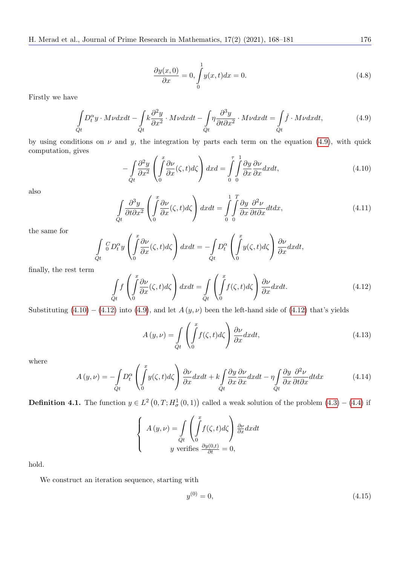$$
\frac{\partial y(x,0)}{\partial x} = 0, \int_{0}^{1} y(x,t)dx = 0.
$$
\n(4.8)

Firstly we have

<span id="page-8-0"></span>
$$
\int_{Qt} D_t^{\alpha} y \cdot M\nu dxdt - \int_{Qt} k \frac{\partial^2 y}{\partial x^2} \cdot M\nu dxdt - \int_{Qt} \eta \frac{\partial^3 y}{\partial t \partial x^2} \cdot M\nu dxdt = \int_{Qt} \check{f} \cdot M\nu dxdt, \tag{4.9}
$$

by using conditions on  $\nu$  and  $y$ , the integration by parts each term on the equation [\(4](#page-8-0).9), with quick computation, gives

<span id="page-8-1"></span>
$$
-\int_{Qt} \frac{\partial^2 y}{\partial x^2} \left( \int_0^x \frac{\partial \nu}{\partial x} (\zeta, t) d\zeta \right) dx d = \int_0^{\tau} \int_0^1 \frac{\partial y}{\partial x} \frac{\partial \nu}{\partial x} dx dt,
$$
\n(4.10)

also

$$
\int_{Qt} \frac{\partial^3 y}{\partial t \partial x^2} \left( \int_0^x \frac{\partial \nu}{\partial x} (\zeta, t) d\zeta \right) dx dt = \int_0^1 \int_0^T \frac{\partial y}{\partial x} \frac{\partial^2 \nu}{\partial t \partial x} dt dx, \tag{4.11}
$$

the same for

<span id="page-8-2"></span>
$$
\int_{Qt} \left( \int_{0}^{x} \frac{\partial \nu}{\partial x} (\zeta, t) d\zeta \right) dx dt = -\int_{Qt} D_t^{\alpha} \left( \int_{0}^{x} y(\zeta, t) d\zeta \right) \frac{\partial \nu}{\partial x} dx dt,
$$

finally, the rest term

$$
\int_{Qt} f\left(\int_{0}^{x} \frac{\partial \nu}{\partial x}(\zeta, t) d\zeta\right) dx dt = \int_{Qt} \left(\int_{0}^{x} f(\zeta, t) d\zeta\right) \frac{\partial \nu}{\partial x} dx dt.
$$
\n(4.12)

Substituting  $(4.10) - (4.12)$  $(4.10) - (4.12)$  $(4.10) - (4.12)$  $(4.10) - (4.12)$  into  $(4.9)$ , and let  $A(y, \nu)$  been the left-hand side of  $(4.12)$  that's yields

$$
A(y,\nu) = \int_{Qt} \left( \int_{0}^{x} f(\zeta, t) d\zeta \right) \frac{\partial \nu}{\partial x} dx dt,
$$
\n(4.13)

where

$$
A(y,\nu) = -\int_{Qt} D_t^{\alpha} \left( \int_0^x y(\zeta, t) d\zeta \right) \frac{\partial \nu}{\partial x} dx dt + k \int_{Qt} \frac{\partial y}{\partial x} \frac{\partial \nu}{\partial x} dx dt - \eta \int_{Qt} \frac{\partial y}{\partial x} \frac{\partial^2 \nu}{\partial t \partial x} dt dx \tag{4.14}
$$

**Definition 4.1.** The function  $y \in L^2(0,T; H^1_\sigma(0,1))$  called a weak solution of the problem  $(4.3) - (4.4)$  $(4.3) - (4.4)$  $(4.3) - (4.4)$  $(4.3) - (4.4)$  $(4.3) - (4.4)$  if

$$
\begin{cases}\nA(y,\nu) = \int_{Qt} \left( \int_{0}^{x} f(\zeta,t) d\zeta \right) \frac{\partial \nu}{\partial x} dx dt \\
y \text{ verifies } \frac{\partial y(0,t)}{\partial t} = 0,\n\end{cases}
$$

hold.

We construct an iteration sequence, starting with

$$
y^{(0)} = 0,\t\t(4.15)
$$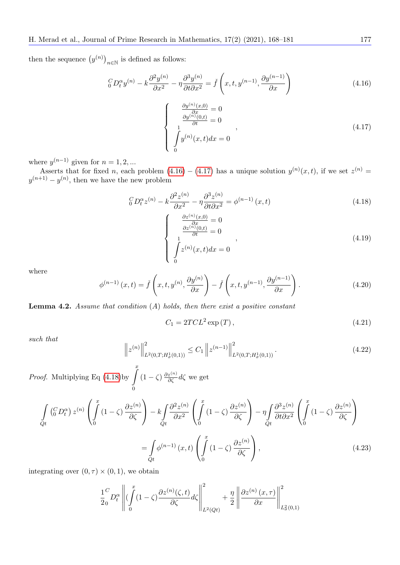then the sequence  $(y^{(n)})_{n\in\mathbb{N}}$  is defined as follows:

<span id="page-9-0"></span>
$$
\ _{0}^{C}D_{t}^{\alpha}y^{(n)} - k\frac{\partial^{2}y^{(n)}}{\partial x^{2}} - \eta \frac{\partial^{3}y^{(n)}}{\partial t \partial x^{2}} = \check{f}\left(x, t, y^{(n-1)}, \frac{\partial y^{(n-1)}}{\partial x}\right)
$$
\n(4.16)

<span id="page-9-1"></span>
$$
\begin{cases}\n\frac{\partial y^{(n)}(x,0)}{\partial x} = 0\\ \n\frac{\partial y^{(n)}(0,t)}{\partial t} = 0\\ \n\int_0^1 y^{(n)}(x,t)dx = 0\n\end{cases}
$$
\n(4.17)

where  $y^{(n-1)}$  given for  $n = 1, 2, ...$ 

Asserts that for fixed n, each problem  $(4.16) - (4.17)$  $(4.16) - (4.17)$  $(4.16) - (4.17)$  $(4.16) - (4.17)$  has a unique solution  $y^{(n)}(x,t)$ , if we set  $z^{(n)}$  $y^{(n+1)} - y^{(n)}$ , then we have the new problem

<span id="page-9-2"></span>
$$
{}_{0}^{C}D_{t}^{\alpha}z^{(n)} - k\frac{\partial^{2}z^{(n)}}{\partial x^{2}} - \eta \frac{\partial^{3}z^{(n)}}{\partial t \partial x^{2}} = \phi^{(n-1)}(x,t)
$$
\n(4.18)

$$
\begin{cases}\n\frac{\partial z^{(n)}(x,0)}{\partial x} = 0\\ \n\frac{\partial z^{(n)}(0,t)}{\partial t} = 0\\ \n\int_{0}^{1} z^{(n)}(x,t)dx = 0\n\end{cases}
$$
\n(4.19)

where

$$
\phi^{(n-1)}(x,t) = \check{f}\left(x,t,y^{(n)},\frac{\partial y^{(n)}}{\partial x}\right) - \check{f}\left(x,t,y^{(n-1)},\frac{\partial y^{(n-1)}}{\partial x}\right). \tag{4.20}
$$

**Lemma 4.2.** Assume that condition  $(A)$  holds, then there exist a positive constant

$$
C_1 = 2TCL^2 \exp\left(T\right),\tag{4.21}
$$

such that

$$
\left\| z^{(n)} \right\|_{L^2(0,T;H^1_\sigma(0,1))}^2 \le C_1 \left\| z^{(n-1)} \right\|_{L^2(0,T;H^1_\sigma(0,1))}^2. \tag{4.22}
$$

*Proof.* Multiplying Eq  $(4.18)$  $(4.18)$ by  $\int_{0}^{x}$ 0  $(1-\zeta) \frac{\partial z^{(n)}}{\partial \zeta} d\zeta$  we get

$$
\int_{Qt} \left( \int_{0}^{C} D_{t}^{\alpha} \right) z^{(n)} \left( \int_{0}^{x} (1 - \zeta) \frac{\partial z^{(n)}}{\partial \zeta} \right) - k \int_{Qt} \frac{\partial^{2} z^{(n)}}{\partial x^{2}} \left( \int_{0}^{x} (1 - \zeta) \frac{\partial z^{(n)}}{\partial \zeta} \right) - \eta \int_{Qt} \frac{\partial^{3} z^{(n)}}{\partial t \partial x^{2}} \left( \int_{0}^{x} (1 - \zeta) \frac{\partial z^{(n)}}{\partial \zeta} \right)
$$
\n
$$
= \int_{Qt} \phi^{(n-1)}(x, t) \left( \int_{0}^{x} (1 - \zeta) \frac{\partial z^{(n)}}{\partial \zeta} \right), \tag{4.23}
$$

integrating over  $(0, \tau) \times (0, 1)$ , we obtain

$$
\frac{1}{2} \int_{0}^{C} D_t^{\alpha} \left\| \left( \int_{0}^{x} (1 - \zeta) \frac{\partial z^{(n)}(\zeta, t)}{\partial \zeta} d\zeta \right\|_{L^2(Qt)}^2 + \frac{\eta}{2} \left\| \frac{\partial z^{(n)}(x, \tau)}{\partial x} \right\|_{L^2(Qt)}^2 \right\|_{L^2(Q(t))}^2
$$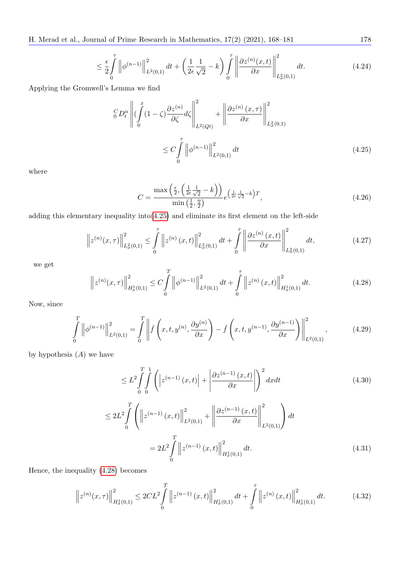H. Merad et al., Journal of Prime Research in Mathematics, 17(2) (2021), 168–181 178

$$
\leq \frac{\epsilon}{2} \int_{0}^{\tau} \left\| \phi^{(n-1)} \right\|_{L^{2}(0,1)}^{2} dt + \left( \frac{1}{2\epsilon} \frac{1}{\sqrt{2}} - k \right) \int_{0}^{\tau} \left\| \frac{\partial z^{(n)}(x,t)}{\partial x} \right\|_{L^{2}(0,1)}^{2} dt.
$$
\n(4.24)

Applying the Gromwell's Lemma we find

$$
\left\| \int_{0}^{T} D_t^{\alpha} \left\| \left( \int_{0}^{x} (1 - \zeta) \frac{\partial z^{(n)}}{\partial \zeta} d\zeta \right\|_{L^2(Qt)}^2 + \left\| \frac{\partial z^{(n)}(x, \tau)}{\partial x} \right\|_{L^2(Qt)}^2 \right\|_{L^2(Q, 1)}^2
$$
\n
$$
\leq C \int_{0}^{T} \left\| \phi^{(n-1)} \right\|_{L^2(Q, 1)}^2 dt \tag{4.25}
$$

where

<span id="page-10-0"></span>
$$
C = \frac{\max\left(\frac{\epsilon}{2}, \left(\frac{1}{2\epsilon}\frac{1}{\sqrt{2}} - k\right)\right)}{\min\left(\frac{1}{2}, \frac{\eta}{2}\right)} e^{\left(\frac{1}{2\epsilon}\frac{1}{\sqrt{2}} - k\right)T},\tag{4.26}
$$

adding this elementary inequality  $\text{into}(4.25)$  $\text{into}(4.25)$  and eliminate its first element on the left-side

$$
\left\| z^{(n)}(x,\tau) \right\|_{L^2(\{0,1\}}^2 \le \int_0^\tau \left\| z^{(n)}(x,t) \right\|_{L^2(\{0,1\}}^2 dt + \int_0^\tau \left\| \frac{\partial z^{(n)}(x,t)}{\partial x} \right\|_{L^2(\{0,1\}}^2 dt, \tag{4.27}
$$

we get

<span id="page-10-1"></span>
$$
\left\| z^{(n)}(x,\tau) \right\|_{H^1_{\sigma}(0,1)}^2 \le C \int\limits_0^T \left\| \phi^{(n-1)} \right\|_{L^2(0,1)}^2 dt + \int\limits_0^\tau \left\| z^{(n)}(x,t) \right\|_{H^1_{\sigma}(0,1)}^2 dt. \tag{4.28}
$$

Now, since

$$
\int_{0}^{T} \left\| \phi^{(n-1)} \right\|_{L^{2}(0,1)}^{2} = \int_{0}^{T} \left\| \check{f}\left(x,t,y^{(n)},\frac{\partial y^{(n)}}{\partial x}\right) - \check{f}\left(x,t,y^{(n-1)},\frac{\partial y^{(n-1)}}{\partial x}\right) \right\|_{L^{2}(0,1)}^{2},\tag{4.29}
$$

by hypothesis  $(A)$  we have

$$
\leq L^{2} \int_{0}^{T} \int_{0}^{1} \left( \left| z^{(n-1)}(x,t) \right| + \left| \frac{\partial z^{(n-1)}(x,t)}{\partial x} \right| \right)^{2} dx dt
$$
\n
$$
\leq 2L^{2} \int_{0}^{T} \left( \left\| z^{(n-1)}(x,t) \right\|_{L^{2}(0,1)}^{2} + \left\| \frac{\partial z^{(n-1)}(x,t)}{\partial x} \right\|_{L^{2}(0,1)}^{2} \right) dt
$$
\n
$$
= 2L^{2} \int_{0}^{T} \left\| z^{(n-1)}(x,t) \right\|_{H_{\sigma}^{1}(0,1)}^{2} dt.
$$
\n(4.31)

Hence, the inequality (4.[28\)](#page-10-1) becomes

$$
\left\| z^{(n)}(x,\tau) \right\|_{H^1_{\sigma}(0,1)}^2 \le 2CL^2 \int\limits_0^T \left\| z^{(n-1)}(x,t) \right\|_{H^1_{\sigma}(0,1)}^2 dt + \int\limits_0^\tau \left\| z^{(n)}(x,t) \right\|_{H^1_{\sigma}(0,1)}^2 dt. \tag{4.32}
$$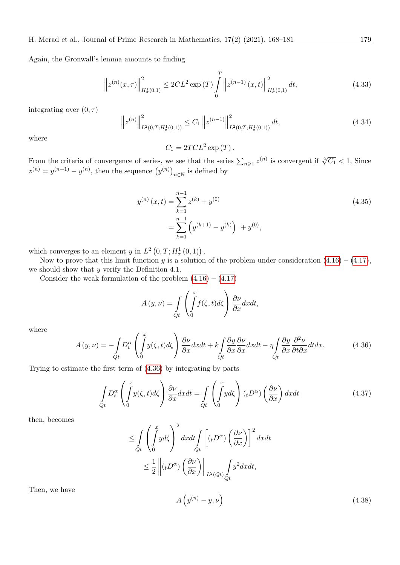Again, the Gronwall's lemma amounts to finding

$$
\left\| z^{(n)}(x,\tau) \right\|_{H^1_{\sigma}(0,1)}^2 \le 2CL^2 \exp(T) \int_0^T \left\| z^{(n-1)}(x,t) \right\|_{H^1_{\sigma}(0,1)}^2 dt,
$$
\n(4.33)

integrating over  $(0, \tau)$ 

$$
\left\| z^{(n)} \right\|_{L^2(0,T;H^1_\sigma(0,1))}^2 \le C_1 \left\| z^{(n-1)} \right\|_{L^2(0,T;H^1_\sigma(0,1))}^2 dt,
$$
\n(4.34)

where

 $C_1 = 2TCL^2 \exp(T)$ .

From the criteria of convergence of series, we see that the series  $\sum_{n\geqslant 1} z^{(n)}$  is convergent if  $\sqrt[2]{C_1} < 1$ , Since  $z^{(n)} = y^{(n+1)} - y^{(n)}$ , then the sequence  $(y^{(n)})_{n \in \mathbb{N}}$  is defined by

$$
y^{(n)}(x,t) = \sum_{k=1}^{n-1} z^{(k)} + y^{(0)}
$$
  
= 
$$
\sum_{k=1}^{n-1} \left( y^{(k+1)} - y^{(k)} \right) + y^{(0)},
$$
 (4.35)

which converges to an element y in  $L^2(0,T;H^1_\sigma(0,1))$ .

Now to prove that this limit function y is a solution of the problem under consideration  $(4.16) - (4.17)$  $(4.16) - (4.17)$  $(4.16) - (4.17)$  $(4.16) - (4.17)$ , we should show that  $y$  verify the Definition 4.1.

Consider the weak formulation of the problem  $(4.16) - (4.17)$  $(4.16) - (4.17)$  $(4.16) - (4.17)$  $(4.16) - (4.17)$ 

$$
A(y,\nu) = \int_{Qt} \left( \int_{0}^{x} f(\zeta, t) d\zeta \right) \frac{\partial \nu}{\partial x} dx dt,
$$

where

<span id="page-11-0"></span>
$$
A(y,\nu) = -\int_{Qt} D_t^{\alpha} \left( \int_0^x y(\zeta, t) d\zeta \right) \frac{\partial \nu}{\partial x} dx dt + k \int_{Qt} \frac{\partial y}{\partial x} \frac{\partial \nu}{\partial x} dx dt - \eta \int_{Qt} \frac{\partial y}{\partial x} \frac{\partial^2 \nu}{\partial t \partial x} dt dx.
$$
 (4.36)

Trying to estimate the first term of (4.[36\)](#page-11-0) by integrating by parts

$$
\int_{Qt} D_t^{\alpha} \left( \int_0^x y(\zeta, t) d\zeta \right) \frac{\partial \nu}{\partial x} dx dt = \int_{Qt} \left( \int_0^x y d\zeta \right) (t D^{\alpha}) \left( \frac{\partial \nu}{\partial x} \right) dx dt \tag{4.37}
$$

then, becomes

$$
\leq \int_{Qt} \left( \int_{0}^{x} yd\zeta \right)^{2} dxdt \int_{Qt} \left[ (\iota D^{\alpha}) \left( \frac{\partial \nu}{\partial x} \right) \right]^{2} dxdt
$$
  

$$
\leq \frac{1}{2} \left\| (\iota D^{\alpha}) \left( \frac{\partial \nu}{\partial x} \right) \right\|_{L^{2}(Qt)} \int_{Qt} y^{2} dxdt,
$$

Then, we have

<span id="page-11-1"></span>
$$
A\left(y^{(n)} - y, \nu\right) \tag{4.38}
$$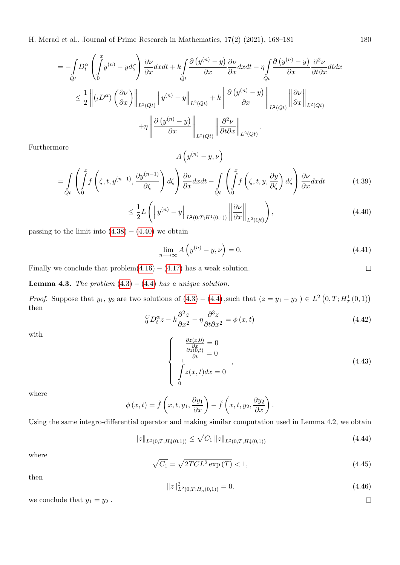$$
= -\int_{\tilde{Q}t} D_t^{\alpha} \left( \int_0^x y^{(n)} - y d\zeta \right) \frac{\partial \nu}{\partial x} dx dt + k \int_{\tilde{Q}t} \frac{\partial (y^{(n)} - y)}{\partial x} \frac{\partial \nu}{\partial x} dx dt - \eta \int_{\tilde{Q}t} \frac{\partial (y^{(n)} - y)}{\partial x} \frac{\partial^2 \nu}{\partial t \partial x} dt dx
$$
  

$$
\leq \frac{1}{2} \left\| (t D^{\alpha}) \left( \frac{\partial \nu}{\partial x} \right) \right\|_{L^2(Qt)} \left\| y^{(n)} - y \right\|_{L^2(Qt)} + k \left\| \frac{\partial (y^{(n)} - y)}{\partial x} \right\|_{L^2(Qt)} \left\| \frac{\partial \nu}{\partial x} \right\|_{L^2(Qt)}
$$
  

$$
+ \eta \left\| \frac{\partial (y^{(n)} - y)}{\partial x} \right\|_{L^2(Qt)} \left\| \frac{\partial^2 \nu}{\partial t \partial x} \right\|_{L^2(Qt)}.
$$

Furthermore

$$
A\left(y^{(n)}-y,\nu\right)
$$

$$
= \int_{Qt} \left( \int_{0}^{x} f\left(\zeta, t, y^{(n-1)}, \frac{\partial y^{(n-1)}}{\partial \zeta}\right) d\zeta \right) \frac{\partial \nu}{\partial x} dx dt - \int_{Qt} \left( \int_{0}^{x} f\left(\zeta, t, y, \frac{\partial y}{\partial \zeta}\right) d\zeta \right) \frac{\partial \nu}{\partial x} dx dt \tag{4.39}
$$

<span id="page-12-0"></span>
$$
\leq \frac{1}{2}L\left(\left\|y^{(n)}-y\right\|_{L^2(0,T;H^1(0,1))}\left\|\frac{\partial\nu}{\partial x}\right\|_{L^2(Qt)}\right),\tag{4.40}
$$

passing to the limit into  $(4.38) - (4.40)$  $(4.38) - (4.40)$  $(4.38) - (4.40)$  $(4.38) - (4.40)$  we obtain

$$
\lim_{n \to \infty} A\left(y^{(n)} - y, \nu\right) = 0. \tag{4.41}
$$

Finally we conclude that  $problem(4.16) - (4.17)$  $problem(4.16) - (4.17)$  $problem(4.16) - (4.17)$  $problem(4.16) - (4.17)$  has a weak solution.

**Lemma 4.3.** The problem  $(4.3) - (4.4)$  $(4.3) - (4.4)$  $(4.3) - (4.4)$  $(4.3) - (4.4)$  has a unique solution.

*Proof.* Suppose that  $y_1, y_2$  are two solutions of  $(4.3) - (4.4)$  $(4.3) - (4.4)$  $(4.3) - (4.4)$  $(4.3) - (4.4)$  $(4.3) - (4.4)$ , such that  $(z = y_1 - y_2) \in L^2(0, T; H^1_\sigma(0, 1))$ then

$$
{}_{0}^{C}D_{t}^{\alpha}z - k\frac{\partial^{2}z}{\partial x^{2}} - \eta \frac{\partial^{3}z}{\partial t \partial x^{2}} = \phi(x,t)
$$
\n(4.42)

with

$$
\begin{cases}\n\frac{\partial z(x,0)}{\partial x} = 0\\ \n\frac{\partial z(0,t)}{\partial t} = 0\\ \n\int_{0}^{1} z(x,t)dx = 0\n\end{cases}
$$
\n(4.43)

where

$$
\phi(x,t) = \check{f}\left(x,t,y_1,\frac{\partial y_1}{\partial x}\right) - \check{f}\left(x,t,y_2,\frac{\partial y_2}{\partial x}\right).
$$

Using the same integro-differential operator and making similar computation used in Lemma 4.2, we obtain

$$
||z||_{L^{2}(0,T;H^{1}_{\sigma}(0,1))} \leq \sqrt{C_{1}} ||z||_{L^{2}(0,T;H^{1}_{\sigma}(0,1))}
$$
\n(4.44)

where

$$
\sqrt{C_1} = \sqrt{2TCL^2 \exp(T)} < 1,\tag{4.45}
$$

then

$$
||z||_{L^{2}(0,T;H_{\sigma}^{1}(0,1))}^{2} = 0.
$$
\n(4.46)

we conclude that  $y_1 = y_2$ .

 $\Box$ 

 $\Box$